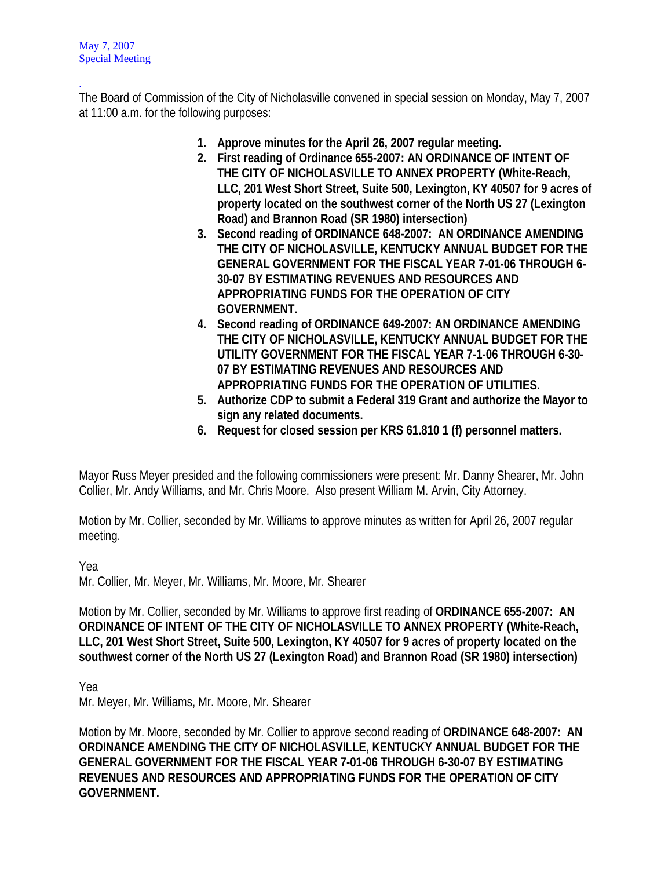. The Board of Commission of the City of Nicholasville convened in special session on Monday, May 7, 2007 at 11:00 a.m. for the following purposes:

- **1. Approve minutes for the April 26, 2007 regular meeting.**
- **2. First reading of Ordinance 655-2007: AN ORDINANCE OF INTENT OF THE CITY OF NICHOLASVILLE TO ANNEX PROPERTY (White-Reach, LLC, 201 West Short Street, Suite 500, Lexington, KY 40507 for 9 acres of property located on the southwest corner of the North US 27 (Lexington Road) and Brannon Road (SR 1980) intersection)**
- **3. Second reading of ORDINANCE 648-2007: AN ORDINANCE AMENDING THE CITY OF NICHOLASVILLE, KENTUCKY ANNUAL BUDGET FOR THE GENERAL GOVERNMENT FOR THE FISCAL YEAR 7-01-06 THROUGH 6- 30-07 BY ESTIMATING REVENUES AND RESOURCES AND APPROPRIATING FUNDS FOR THE OPERATION OF CITY GOVERNMENT.**
- **4. Second reading of ORDINANCE 649-2007: AN ORDINANCE AMENDING THE CITY OF NICHOLASVILLE, KENTUCKY ANNUAL BUDGET FOR THE UTILITY GOVERNMENT FOR THE FISCAL YEAR 7-1-06 THROUGH 6-30- 07 BY ESTIMATING REVENUES AND RESOURCES AND APPROPRIATING FUNDS FOR THE OPERATION OF UTILITIES.**
- **5. Authorize CDP to submit a Federal 319 Grant and authorize the Mayor to sign any related documents.**
- **6. Request for closed session per KRS 61.810 1 (f) personnel matters.**

Mayor Russ Meyer presided and the following commissioners were present: Mr. Danny Shearer, Mr. John Collier, Mr. Andy Williams, and Mr. Chris Moore. Also present William M. Arvin, City Attorney.

Motion by Mr. Collier, seconded by Mr. Williams to approve minutes as written for April 26, 2007 regular meeting.

Yea

Mr. Collier, Mr. Meyer, Mr. Williams, Mr. Moore, Mr. Shearer

Motion by Mr. Collier, seconded by Mr. Williams to approve first reading of **ORDINANCE 655-2007: AN ORDINANCE OF INTENT OF THE CITY OF NICHOLASVILLE TO ANNEX PROPERTY (White-Reach, LLC, 201 West Short Street, Suite 500, Lexington, KY 40507 for 9 acres of property located on the southwest corner of the North US 27 (Lexington Road) and Brannon Road (SR 1980) intersection)** 

Yea

Mr. Meyer, Mr. Williams, Mr. Moore, Mr. Shearer

Motion by Mr. Moore, seconded by Mr. Collier to approve second reading of **ORDINANCE 648-2007: AN ORDINANCE AMENDING THE CITY OF NICHOLASVILLE, KENTUCKY ANNUAL BUDGET FOR THE GENERAL GOVERNMENT FOR THE FISCAL YEAR 7-01-06 THROUGH 6-30-07 BY ESTIMATING REVENUES AND RESOURCES AND APPROPRIATING FUNDS FOR THE OPERATION OF CITY GOVERNMENT.**